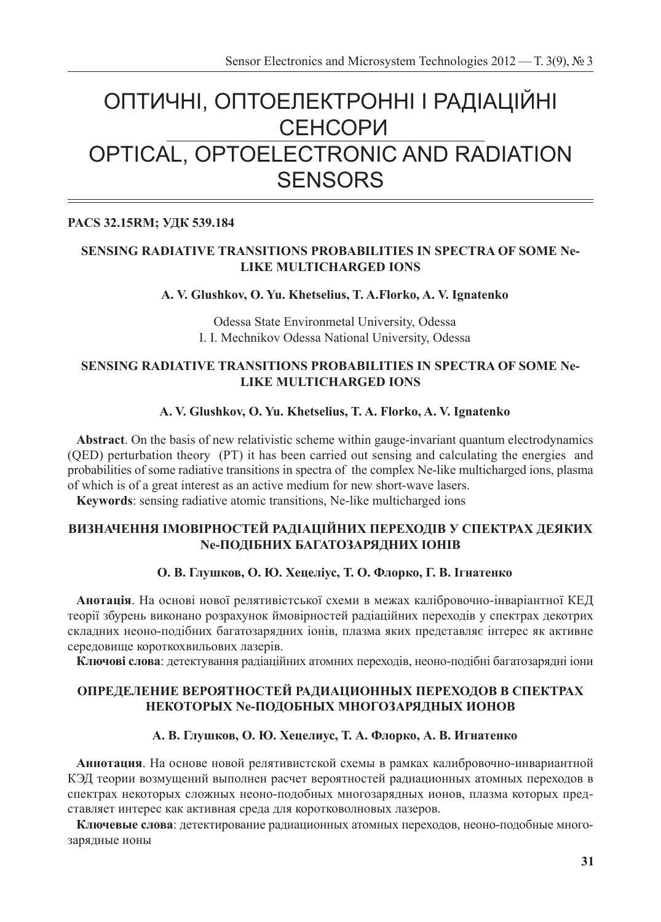# ОПТИЧНІ, ОПТОЕЛЕКТРОННІ І РАДІАЦІЙНІ СЕНСОРИ OPTICAL, OPTOELECTRONIC AND RADIATION **SENSORS**

## **PACS 32.15RM; УДК 539.184**

## **SENSING RADIATIVE TRANSITIONS PROBABILITIES IN SPECTRA OF SOME Ne-LIKE MULTICHARGED IONS**

#### **A. V. Glushkov, O. Yu. Khetselius, T. A.Florko, A. V. Ignatenko**

Odessa State Environmetal University, Odessa I. I. Mechnikov Odessa National University, Odessa

## **SENSING RADIATIVE TRANSITIONS PROBABILITIES IN SPECTRA OF SOME Ne-LIKE MULTICHARGED IONS**

## **A. V. Glushkov, O. Yu. Khetselius, T. A. Florko, A. V. Ignatenko**

**Abstract**. On the basis of new relativistic scheme within gauge-invariant quantum electrodynamics (QED) perturbation theory (PT) it has been carried out sensing and calculating the energies and probabilities of some radiative transitions in spectra of the complex Ne-like multicharged ions, plasma of which is of a great interest as an active medium for new short-wave lasers.

**Keywords**: sensing radiative atomic transitions, Ne-like multicharged ions

#### **ВИЗНАЧЕННЯ ІМОВІРНОСТЕЙ РАДІАЦІЙНИХ ПЕРЕХОДІВ У СПЕКТРАХ ДЕЯКИХ Ne-ПОДІБНИХ БАГАТОЗАРЯДНИХ ІОНІВ**

#### **О. В. Глушков, О. Ю. Хецеліус, Т. О. Флорко, Г. В. Ігнатенко**

**Анотація**. На основі нової релятивістської схеми в межах калібровочно-інваріантної КЕД теорії збурень виконано розрахунок ймовірностей радіаційних переходів у спектрах декотрих складних неоно-подібних багатозарядних іонів, плазма яких представляє інтерес як активне середовище короткохвильових лазерів.

**Ключові слова**: детектування радіаційних атомних переходів, неоно-подібні багатозарядні іони

#### **ОПРЕДЕЛЕНИЕ ВЕРОЯТНОСТЕЙ РАДИАЦИОННЫХ ПЕРЕХОДOВ В СПЕКТРАХ НЕКОТОРЫХ Ne-ПОДОБНЫХ МНОГОЗАРЯДНЫХ ИОНОВ**

#### **А. В. Глушков, О. Ю. Хецелиус, Т. А. Флорко, А. В. Игнатенко**

**Аннотация**. На основе новой релятивистской схемы в рамках калибровочно-инвариантной КЭД теории возмущений выполнен расчет вероятностей радиационных атомных переходов в спектрах некоторых сложных неоно-подобных многозарядных ионов, плазма которых представляет интерес как активная среда для коротковолновых лазеров.

**Ключевые слова**: детектирование радиационных атомных переходов, неоно-подобные многозарядные ионы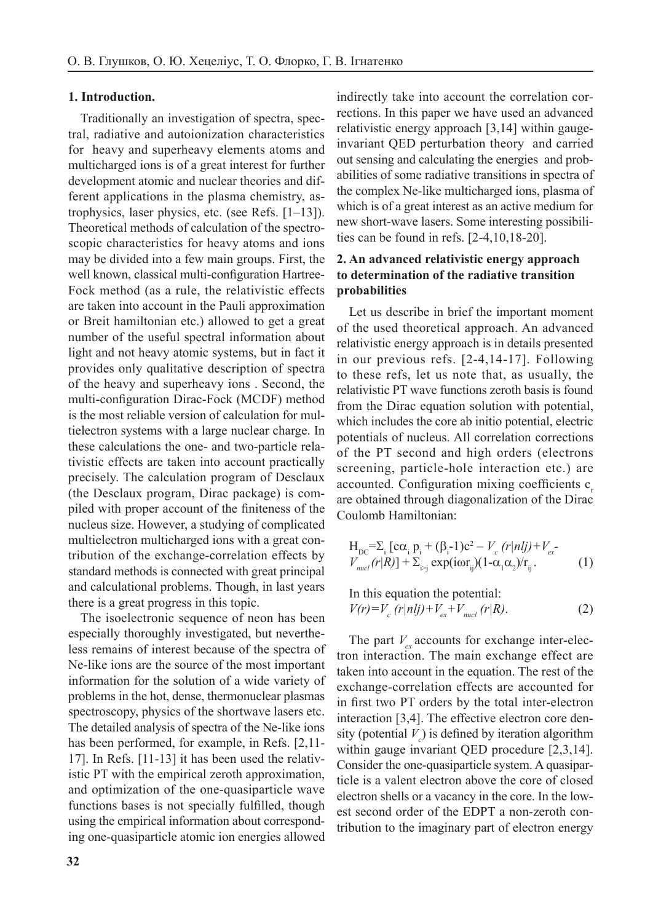#### **1. Introduction.**

Traditionally an investigation of spectra, spectral, radiative and autoionization characteristics for heavy and superheavy elements atoms and multicharged ions is of a great interest for further development atomic and nuclear theories and different applications in the plasma chemistry, astrophysics, laser physics, etc. (see Refs. [1–13]). Theoretical methods of calculation of the spectroscopic characteristics for heavy atoms and ions may be divided into a few main groups. First, the well known, classical multi-configuration Hartree-Fock method (as a rule, the relativistic effects are taken into account in the Pauli approximation or Breit hamiltonian etc.) allowed to get a great number of the useful spectral information about light and not heavy atomic systems, but in fact it provides only qualitative description of spectra of the heavy and superheavy ions . Second, the multi-configuration Dirac-Fock (MCDF) method is the most reliable version of calculation for multielectron systems with a large nuclear charge. In these calculations the one- and two-particle relativistic effects are taken into account practically precisely. The calculation program of Desclaux (the Desclaux program, Dirac package) is compiled with proper account of the finiteness of the nucleus size. However, a studying of complicated multielectron multicharged ions with a great contribution of the exchange-correlation effects by standard methods is connected with great principal and calculational problems. Though, in last years there is a great progress in this topic.

The isoelectronic sequence of neon has been especially thoroughly investigated, but nevertheless remains of interest because of the spectra of Ne-like ions are the source of the most important information for the solution of a wide variety of problems in the hot, dense, thermonuclear plasmas spectroscopy, physics of the shortwave lasers etc. The detailed analysis of spectra of the Ne-like ions has been performed, for example, in Refs. [2,11- 17]. In Refs. [11-13] it has been used the relativistic PT with the empirical zeroth approximation, and optimization of the one-quasiparticle wave functions bases is not specially fulfilled, though using the empirical information about corresponding one-quasiparticle atomic ion energies allowed indirectly take into account the correlation corrections. In this paper we have used an advanced relativistic energy approach [3,14] within gaugeinvariant QED perturbation theory and carried out sensing and calculating the energies and probabilities of some radiative transitions in spectra of the complex Ne-like multicharged ions, plasma of which is of a great interest as an active medium for new short-wave lasers. Some interesting possibilities can be found in refs. [2-4,10,18-20].

#### **2. An advanced relativistic energy approach to determination of the radiative transition probabilities**

Let us describe in brief the important moment of the used theoretical approach. An advanced relativistic energy approach is in details presented in our previous refs. [2-4,14-17]. Following to these refs, let us note that, as usually, the relativistic PT wave functions zeroth basis is found from the Dirac equation solution with potential, which includes the core ab initio potential, electric potentials of nucleus. All correlation corrections of the PT second and high orders (electrons screening, particle-hole interaction etc.) are accounted. Configuration mixing coefficients c are obtained through diagonalization of the Dirac Coulomb Hamiltonian:

$$
H_{\rm DC} = \sum_{i} [c\alpha_{i} p_{i} + (\beta_{i} - 1)c^{2} - V_{c} (r|nlj) + V_{ex} - V_{nucl} (r|R)] + \sum_{i>j} \exp(i\omega r_{ij}) (1 - \alpha_{i}\alpha_{2})/r_{ij}. \tag{1}
$$

In this equation the potential:  
\n
$$
V(r) = V_c (r|nlj) + V_{ex} + V_{nucl} (r|R).
$$
\n(2)

The part  $V_{ex}$  accounts for exchange inter-electron interaction. The main exchange effect are taken into account in the equation. The rest of the exchange-correlation effects are accounted for in first two PT orders by the total inter-electron interaction [3,4]. The effective electron core density (potential *V<sup>c</sup>* ) is defined by iteration algorithm within gauge invariant QED procedure [2,3,14]. Consider the one-quasiparticle system. A quasiparticle is a valent electron above the core of closed electron shells or a vacancy in the core. In the lowest second order of the EDPT a non-zeroth contribution to the imaginary part of electron energy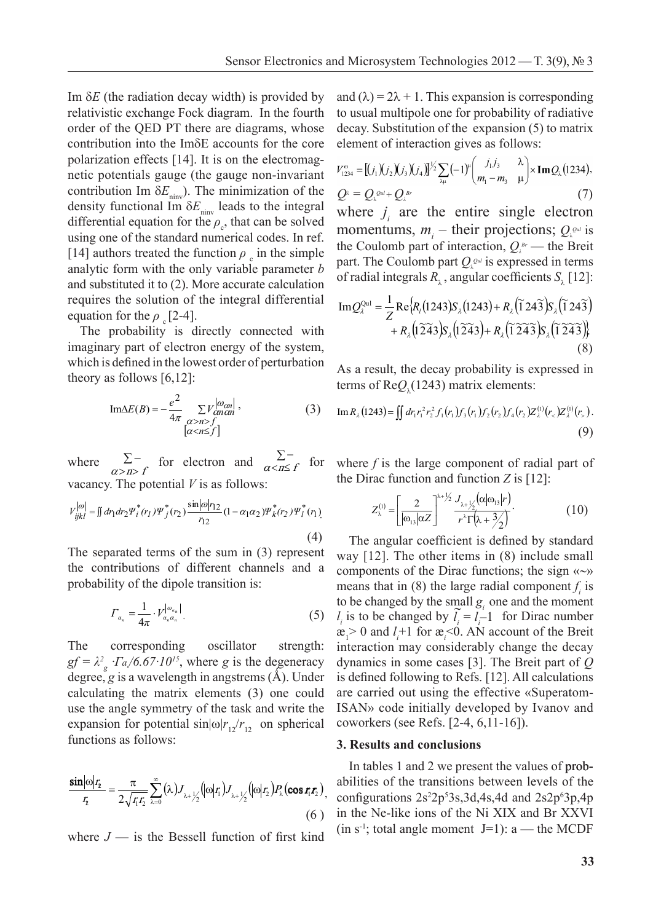Im  $\delta E$  (the radiation decay width) is provided by relativistic exchange Fock diagram. In the fourth order of the QED PT there are diagrams, whose contribution into the  $Im\delta E$  accounts for the core polarization effects [14]. It is on the electromag-<br> $V_{\text{max}} = V_{\text{max}} + (V_{\text{max}}V_{\text{max}}V_{\text{max}}V_{\text{max}}V_{\text{max}}V_{\text{max}}V_{\text{max}}V_{\text{max}}V_{\text{max}}V_{\text{max}}V_{\text{max}}V_{\text{max}}V_{\text{max}}V_{\text{max}}V_{\text{max}}V_{\text{max}}V_{\text{max}}V_{\text{max}}V_{\text{max}}V_{\text{max}}V_{\text{max}}V_{\text$ netic potentials gauge (the gauge non-invariant  $v_{1234} = 10^{1} M_{2} M_{3} M_{4} M_{4} M_{4} M_{4}$   $\left(\frac{M_{1}}{m_{1}} - m_{3} M_{4}\right)$ contribution Im  $\delta E_{\text{ninv}}$ ). The minimization of the density functional Im  $\delta E_{\text{min}}$  leads to the integral where  $j_i$  are differential equation for the  $\rho_c$ , that can be solved momentur uncertain equation for the  $p_e$ , that can be solved<br>using one of the standard numerical codes. In ref.<br>the Gaulamb m [14] authors treated the function  $\rho_c$  in the simple the Coulom analytic form with the only variable parameter  $b$  fully find  $\alpha$  of radial into and substituted it to (2). More accurate calculation of radial integrals  $R_{\lambda}$ , angular or requires the solution of the integral differential  $Im Q<sup>Qul</sup> = -1$ equation for the  $\rho_c$  [2-4]. Im $Q_{\lambda}^{\text{max}} = \frac{1}{Z} \text{Re}$  $\frac{1}{2}$  radiation decay with the explicit exchange  $\frac{1}{2}$  part. The C procedure  $(2,3,4)$ . Consider the one-quasiparticle system. A quasiparticle is a valent electron electron electron electron electron electron electron electron electron electron electron electron electron electron electro requires the solution of the integral differential  $Im \Omega_{\text{sub}}^{\text{Qul}} = \frac{1}{2} Re \Omega$ above the standard numerical cores. In terms the Coulomb  $p$ the EDPT and the EDPT contribution to the integration to the contribution of electron energy in the contribution of the Could

The probability is directly connected with + imaginary part of electron energy of the system, (8) which is defined in the lowest order of perturbation  $A_{S,3}$  result the  $t_{\text{S}}$  a result, theory as follows [6,12]:  $s<sub>1</sub>$  is defined in the lowest order of perturbation theory as follows [6,12]: The probability is directly connected with  $+ R_{\lambda}$ the integral differential equation for the can be solved using the standard  $\frac{1}{\sqrt{1-\frac{1}{\sqrt{1-\frac{1}{\sqrt{1-\frac{1}{\sqrt{1-\frac{1}{\sqrt{1-\frac{1}{\sqrt{1-\frac{1}{\sqrt{1-\frac{1}{\sqrt{1-\frac{1}{\sqrt{1-\frac{1}{\sqrt{1-\frac{1}{\sqrt{1-\frac{1}{\sqrt{1-\frac{1}{\sqrt{1-\frac{1}{\sqrt{1-\frac{1}{\sqrt{1-\frac{1}{\sqrt{1$ the orly as follows  $[6, 12]$ :<br>terms of  $\text{Re}O$ .

$$
\text{Im}\Delta E(B) = -\frac{e^2}{4\pi} \sum_{\substack{(a>n) \ (a
$$

where  $\sum_{\alpha > n > f}^{\infty}$  for electron and  $\sum_{\alpha < n \le f}^{\infty}$  for vacancy. The potential *V* is as follows: *fn*  $\Sigma$  – for vacancy. The potential *V* is as follows: by. The potential  $V$  is as follows: *v d v x <i>l**v**x* **<b>***l v i x i x i i i i <i>j i t f**t <i>k j t <i>f**t <i><i>f**<i>x***</del>** *i**d**<i>f**<i>n**<i>i**d**<i>f**<i>n**<i>i**d**<i><i>f**<i>f**<i>n* ciccu  $\frac{1}{f}$  for electron ere  $\Sigma^-$  for electron and  $\Sigma^-$  for wh *fn*  $t$  vacancy is as follows: *fn*  $\sum$ <sup>*n*</sup> *for electron* antro  $\mathcal{L}$ where  $\Sigma^-$  for electron and  $\Sigma^-$  for where f is the

$$
V_{ijkl}^{[o]} = \iint d\eta \, dr_2 \Psi_i^*(r_1) \Psi_j^*(r_2) \frac{\sin|\omega| r_{12}}{r_{12}} (1 - \alpha_1 \alpha_2) \Psi_k^*(r_2) \Psi_l^*(r_1)
$$
\n
$$
Z_{\lambda}^{(1)} =
$$
\n
$$
\tag{4}
$$
\nThe angu

The separated terms of the sum in (3) represent way the separated terms of the sum in (5) represent way  $\lfloor 12 \rfloor$ . If the contributions of different channels and a components probability of the dipole transition is: The components and a components ending the matrix of the dipole transition is: and a probability of the dipole transition is: *gf g g<sub>f</sub>*  $\frac{1}{2}$  , where *g*  $\frac{1}{2}$  ,  $\frac{1}{2}$  ,  $\frac{1}{2}$  ,  $\frac{1}{2}$  ,  $\frac{1}{2}$  ,  $\frac{1}{2}$  ,  $\frac{1}{2}$  ,  $\frac{1}{2}$  ,  $\frac{1}{2}$  ,  $\frac{1}{2}$  ,  $\frac{1}{2}$  ,  $\frac{1}{2}$  ,  $\frac{1}{2}$  ,  $\frac{1}{2}$  ,  $\frac{1}{2}$  ,  $\frac{$  $\mu$  occurring of the dipole transition is.  $\mu$ ب<br>1: 4 The angula The separated terms of the sum in (3) represent  $\frac{4}{2}$   $\frac{1}{2}$  The angula  $T_{\text{tr}}$  contributions of unferent enannels and a components of  $T_{\text{tr}}$  of the dipele transition is: probability of

$$
\Gamma_{a_n} = \frac{1}{4\pi} \cdot V_{a_n a_n}^{\left| \omega_{a_n} \right|} \tag{5} \quad \text{to be} \\ \mathbf{a} > \\ \mathbf{a} > \\ \mathbf{a} > \\ \mathbf{a} > \\ \mathbf{b} > \\ \mathbf{b} > \\ \mathbf{b} > \\ \mathbf{b} > \\ \mathbf{b} > \\ \mathbf{b} > \\ \mathbf{b} > \\ \mathbf{b} > \\ \mathbf{b} > \\ \mathbf{b} > \\ \mathbf{c} > \\ \mathbf{c} > \\ \mathbf{d} > \\ \mathbf{e} > \\ \mathbf{e} > \\ \mathbf{e} > \\ \mathbf{e} > \\ \mathbf{e} > \\ \mathbf{e} > \\ \mathbf{e} > \\ \mathbf{e} > \\ \mathbf{e} > \\ \mathbf{e} > \\ \mathbf{e} > \\ \mathbf{e} > \\ \mathbf{e} > \\ \mathbf{e} > \\ \mathbf{e} > \\ \mathbf{e} > \\ \mathbf{e} > \\ \mathbf{e} > \\ \mathbf{e} > \\ \mathbf{e} > \\ \mathbf{e} > \\ \mathbf{e} > \\ \mathbf{e} > \\ \mathbf{e} > \\ \mathbf{e} > \\ \mathbf{e} > \\ \mathbf{e} > \\ \mathbf{e} > \\ \mathbf{e} > \\ \mathbf{e} > \\ \mathbf{e} > \\ \mathbf{e} > \\ \mathbf{e} > \\ \mathbf{e} > \\ \mathbf{e} > \\ \mathbf{e} > \\ \mathbf{e} > \\ \mathbf{e} > \\ \mathbf{e} > \\ \mathbf{e} > \\ \mathbf{e} > \\ \mathbf{e} > \\ \mathbf{e} > \\ \mathbf{e} > \\ \mathbf{e} > \\ \mathbf{e} > \\ \mathbf{e} > \\ \mathbf{e} > \\ \mathbf{e} > \\ \mathbf{e} > \\ \mathbf{e} > \\ \mathbf{e} > \\ \mathbf{e} > \\ \mathbf{e} &
$$

 $\frac{1}{2}$  corresponding oscillator strength:  $gf = \lambda_g^2 \cdot \Gamma_a/6.67 \cdot 10^{15}$ , where g is the degeneracy dynamics in degree, g is a wavelength in angstrems  $(A)$ . Under is defined for calculating the matrix elements (3) one could use the angle symmetry of the task and write the ISAN:<br>expansion for potential sinkely  $/r$  an spherical cowor expansion for potential  $\sin|\omega|r_{12}/r_{12}$  on spherical functions as follows: r etrenoth<sup>.</sup> i ig oscillator strene  $\alpha$  expansion for potential  $\sin|\omega|r_{\alpha}/r_{\beta}$ potential sin potential si expansion for potential  $\sin[\omega/r_{12}/r_{12}]$  on spherical cov<br>functions as follows: where the entire single electron momentum single electron momentum single electron momentum single electron momentum single electron momentum single electron momentum single electron momentum single electron momentum singl  $\arg\log_{5}\frac{1}{5}$  is a wavelength in angel symmetry c calculating the matrix elements (3)<br>use the angle symmetry of the task a 31 calculating the matrix elements (3) one could are<br>use the angle symmetry of the task and write the ISA  $t_{\rm max}$  the Coulomb part of interaction,  $B$  $\lambda$  **d**  $\lambda$  **d**  $\lambda$  **c**  $\lambda$  **c**  $\lambda$  **c**  $\lambda$  **c**  $\lambda$  **c**  $\lambda$  **c**  $\lambda$  **c**  $\lambda$  **c**  $\lambda$  **c**  $\lambda$  **c**  $\lambda$  **c**  $\lambda$  **c**  $\lambda$  **c**  $\lambda$  **c**  $\lambda$  **c**  $\lambda$  **c**  $\lambda$  **c**  $\lambda$  **c**  $\lambda$  **c**  $\lambda$  **c**  $\lambda$  **c**  $\lambda$  **c**  $\lambda$   $g_1 - x_g$   $I_d/0.07$  TO, where g is the degeneracy dynamics in so degree, g is a wavelength in angstrems (Å). Under is defined follow The corresponding oscillator strength : 2 15 .67 **n**  $gf = \lambda^2 \frac{\Gamma a}{6.67 \cdot 10^{15}}$ , where g is the degeneracy dynamics in so pansion for potential  $\sin|\omega|r_{12}/r_{12}$  on spherical coworkers (see

$$
\frac{\sin|\omega|_{\mathcal{I}_2}}{I_1} = \frac{\pi}{2\sqrt{I_1 I_2}} \sum_{\lambda=0}^{\infty} (\lambda) J_{\lambda+\frac{1}{2}}(|\omega|_{\mathcal{I}_1}) J_{\lambda+\frac{1}{2}}(|\omega|_{\mathcal{I}_2}) P_{\lambda}(\cos r_1 r_2),
$$
abilities of  
(6) in the Ne-li  
where  $I_{\lambda}$  is the Pascal function of first kind (in s<sup>-1</sup>; total

where  $J$  — is the Bessell function of first kind where  $J$  — is the Bessell function of 1  $S$  $\overline{r}$  $J$  — is the Be

dth) is provided by and  $(\lambda) = 2\lambda + 1$ . This expansion is corresponding to usual multipole one for probability of radiative<br>decay, Substitution of the expansion (5) to matrix  $\alpha$  and the expansion (5) to matrix decay. Substitution of the expansion (5) to matrix element of interaction gives as follows:  $\frac{1}{2}$ multipole one for probability of radiative<br>ibstitution of the expansion (5) to matrix

on the electromagnetic  
auge non-invariant 
$$
V_{1234}^{\circ} = [(j_1)(j_2)(j_3)(j_4)]^{1/2} \sum_{\lambda\mu} (-1)^{\mu} \left(\frac{j_1j_3}{m_1 - m_3} - \frac{\lambda}{\mu}\right) \times \text{Im} Q_{\lambda}
$$
 (1234),  
minimization of the  $Q^{\lambda} = Q_{\lambda}^{out} + Q_{\lambda}^{Br}$  (7)

ads to the integral where  $j_i$  are the entire single electron  $m_i$  – their projections;  $Q_i^{\omega_i}$  is erical codes. In ref. the Coulamb next of interaction  $Q_k$  the Projections the Coulomb part of interaction,  $Q_{\lambda}^{B_r}$  — the Breit  $p_{\text{a}}$  in the simple part. The Coulomb part  $Q_{\lambda}^{Qul}$  is expressed in terms ariable parameter b of radial integrals  $P_{\lambda}$  angular expressed in terms of radial integrals  $R_{\lambda}$ , angular coefficients  $S_{\lambda}$  [12]: to the integral where i are the entire sing  $\begin{bmatrix} 1 & 1 \\ 1 & 1 \end{bmatrix}$ e the enti ation of the  $Q^{\lambda} = Q_{\lambda}^{out} + Q_{\lambda}^{Br}$ <br>the integral where *i* are the entire single el to the integral where  $j_i$  are the entire sing  $\frac{1}{2}$  *j*  $\frac{1}{2}$  *i*  $\frac{1}{2}$  *g*<sub> $2}$  *i s* the entire single electron is to the integral where *i* are the entire single electron</sub>

$$
\text{differential} \quad \text{Im} \mathcal{Q}_{\lambda}^{\text{Qul}} = \frac{1}{Z} \text{Re} \{ R_{\lambda} (1243) S_{\lambda} (1243) + R_{\lambda} (\tilde{1} 24\tilde{3}) S_{\lambda} (\tilde{1} 24\tilde{3}) + R_{\lambda} (\tilde{1} 24\tilde{3}) S_{\lambda} (\tilde{1} 24\tilde{3}) \} + R_{\lambda} (1 \tilde{2} 4 \tilde{3}) S_{\lambda} (1 \tilde{2} 4 \tilde{3}) S_{\lambda} (\tilde{1} 2 \tilde{4} \tilde{3}) \}
$$
\nthe system,

\n(8)

As a result, the decay probability is expressed in terms of  $\text{Re}Q_{\lambda}(1243)$  matrix elements:

(3) Im 
$$
R_{\lambda}
$$
 (1243) =  $\iint dr_1 r_1^2 r_2^2 f_1(r_1) f_3(r_1) f_2(r_2) f_4(r_2) Z_{\lambda}^{(1)}(r_{\lambda}) Z_{\lambda}^{(1)}(r_{\lambda}).$  (9)

 $\sum_{n \leq n \leq f}$  for where f is the large component of radial part of the Dirac function and function *Z* is [12]: lows: the Dirac function and function *Z* is  $[12]$ .

$$
\alpha_1 \alpha_2 y \mu_k^*(r_2) \mu_l^*(r_1) \qquad \qquad Z_{\lambda}^{(1)} = \left[ \frac{2}{|\omega_{13}|\alpha Z|} \right]^{\lambda + \frac{1}{2}} \frac{J_{\lambda + \frac{1}{2}}(\alpha|\omega_{13}|r)}{r^{\lambda} \Gamma(\lambda + \frac{3}{2})} \qquad (10)
$$

 $(4)$  The angular coefficient is defined by standard in (3) represent way  $[12]$ . The other items in (8) include small channels and a components of the Dirac functions; the sign  $\langle \sim \rangle$ means that in (8) the large radial component  $f_i$  is  $\frac{1}{\sigma} \cdot V_{\sigma_{n}}^{|\omega_{n}|}$  (5) *l* is to be changed by the small  $g_{i}$  one and the moment (5)  $l_i$  is to be changed by  $\tilde{l}_i = l_{i-1}$  for Dirac number  $\frac{a}{2} > 0$  and  $l_i + 1$  for  $\frac{a}{2} < 0$ . AN account of the Breit interaction may considerably change the decay s the degeneracy dynamics in some cases [3]. The Breit part of  $Q$  $\frac{3}{2}$  dynamics in some cases [3]. The Dien part of  $\frac{3}{2}$  Mder is defined following to Refs. [12]. All calculations  $(3)$  one could are carried out using the effective «Superatomisk and write the ISAN» code initially developed by Ivanov and  $\alpha$  and  $\alpha$  **correction**  $\alpha$  *coworkers* (see Refs. [2-4, 6,11-16]).  $\frac{1}{1}$  one could use the angle symmetry of task and write the symmetry of task and write the expansion for the expansion for the expansion for the expansion for the expansion for the expansion for the expansion for the  $\overline{\mathcal{C}}$  $\begin{pmatrix} 4 \end{pmatrix}$  The angular coefficient is defined by standard in (3) represent  $\sum_{i=1}^{\infty}$  and  $\sum_{i=1}^{\infty}$  is the Ni  $\sum_{i=1}^{\infty}$  is  $\mathcal{E}_1^2 > 0$  and  $\ell_i^+$ 1 for  $\mathcal{E}_i^{\leq 0}$ .<br>*g*  $\ell_i^+$  oscillator strength: interaction may consider  $\mu$ ). Onder this defined following to relis. [12]. All calculations  $\frac{1}{2}$  1 equations (see Refs. [2, 4, 6, 11, 16])  $r_{12}$  on spherical coworkers (see Refs. [2-4, 6,11-16]).  $\sum_{i=1}^{\infty}$  means that in (8) the large radial component f is  $\sum_{i=1}^{\infty}$  decay decay decay decay decay  $\sum_{i=1}^{\infty}$  $\frac{3}{5}$  and  $\frac{3}{5}$  and  $\frac{3}{5}$  and  $\frac{3}{5}$  and  $\frac{3}{5}$  and  $\frac{3}{5}$  and  $\frac{3}{5}$  and  $\frac{3}{5}$  and  $\frac{3}{5}$  and  $\frac{3}{5}$  and  $\frac{3}{5}$  and  $\frac{3}{5}$  and  $\frac{3}{5}$  and  $\frac{3}{5}$  and  $\frac{3}{5}$  and  $\frac{3}{5}$  a  $\frac{3}{2}$  is the New part of  $\frac{1}{2}$ Trems  $(A)$ . Under is defined following to Refs. [12]. All calculations

#### **3. Results and conclusions** 3. Results and conclusions

In tables 1 and 2 we present the values of prob-In tables 1 and 2 we present the values of prob-<br>  $\pi \sum_{i=1}^{\infty} (a_i) \pi \int_{\{\alpha | x\}} f(\alpha | x) P(\alpha | x)$  abilities of the transitions between levels of the  $\text{conf}_{12}$ , configurations  $2s^22p^53s, 3d, 4s, 4d$  and  $2s2p^63p, 4p$  $(6)$  in the Ne-like ions of the Ni XIX and Br XXVI  $\lim_{x \to 1}$  (in s<sup>-1</sup>; total angle moment J=1): a — the MCDF  $\frac{\sin[\omega]r_{\text{r}}}{r} = \frac{\pi}{\sqrt{2}} \hat{\Sigma}(\lambda) I_{\text{r}}(\omega|\tau) I_{\text{r}}(\omega|\tau) P(\cos(\tau|\tau))$  abilities of the transitions between levels of the  $\sum_{i=1}^{\infty}$  (in s<sup>-1</sup>; total angle moment J=1): a — the MCDF  $\frac{1}{2}$  and  $\frac{1}{2}$  we present the values of provided  $\frac{1}{2}$  $\frac{1}{2}$  first kind  $\frac{1}{2}$   $\frac{1}{2}$  1.8  $\frac{1}{2}$  1.8  $\frac{1}{2}$  1.8  $\frac{1}{2}$  1.8  $\frac{1}{2}$  1.8  $\frac{1}{2}$  1.8  $\frac{1}{2}$  1.8  $\frac{1}{2}$  1.8  $\frac{1}{2}$  1.8  $\frac{1}{2}$  1.8  $\frac{1}{2}$  1.8  $\frac{1}{2}$  1.8  $\frac{1}{2}$  1.8  $\frac{1}{2}$ where **J** –  $\frac{1}{2}$  –  $\frac{1}{2}$  and  $\frac{1}{2}$  and  $\frac{1}{2}$  and  $\frac{1}{2}$  and  $\frac{1}{2}$  and  $\frac{1}{2}$  and  $\frac{1}{2}$  and  $\frac{1}{2}$  and  $\frac{1}{2}$  and  $\frac{1}{2}$  and  $\frac{1}{2}$  and  $\frac{1}{2}$  and  $\frac{1}{2}$  and  $\frac{1}{2}$  and  $\$  $(0)$  in the ty-like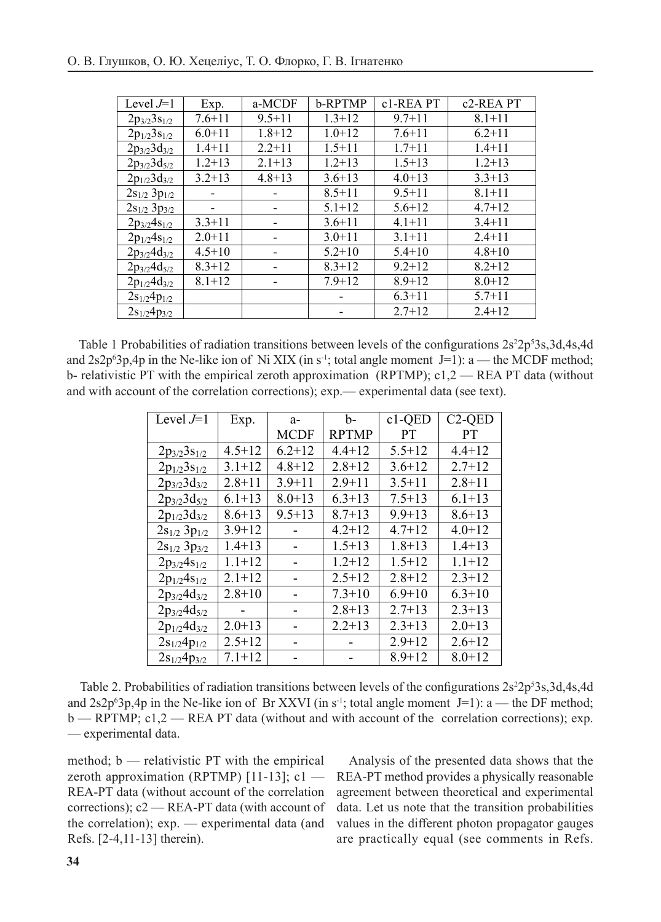| Level $J=1$         | Exp.       | a-MCDF     | b-RPTMP    | c1-REA PT  | c <sub>2</sub> -REA PT |
|---------------------|------------|------------|------------|------------|------------------------|
| $2p_{3/2}3s_{1/2}$  | $7.6 + 11$ | $9.5 + 11$ | $1.3 + 12$ | $9.7 + 11$ | $8.1 + 11$             |
| $2p_{1/2}3s_{1/2}$  | $6.0 + 11$ | $1.8 + 12$ | $1.0 + 12$ | $7.6 + 11$ | $6.2 + 11$             |
| $2p_{3/2}3d_{3/2}$  | $1.4 + 11$ | $2.2 + 11$ | $1.5 + 11$ | $1.7 + 11$ | $1.4 + 11$             |
| $2p_{3/2}3d_{5/2}$  | $1.2 + 13$ | $2.1 + 13$ | $1.2 + 13$ | $1.5 + 13$ | $1.2 + 13$             |
| $2p_{1/2}3d_{3/2}$  | $3.2 + 13$ | $4.8 + 13$ | $3.6 + 13$ | $4.0 + 13$ | $3.3 + 13$             |
| $2s_{1/2} 3p_{1/2}$ |            |            | $8.5 + 11$ | $9.5 + 11$ | $8.1 + 11$             |
| $2s_{1/2} 3p_{3/2}$ |            |            | $5.1 + 12$ | $5.6 + 12$ | $4.7 + 12$             |
| $2p_{3/2}4s_{1/2}$  | $3.3 + 11$ |            | $3.6 + 11$ | $4.1 + 11$ | $3.4 + 11$             |
| $2p_{1/2}4s_{1/2}$  | $2.0 + 11$ |            | $3.0 + 11$ | $3.1 + 11$ | $2.4 + 11$             |
| $2p_{3/2}4d_{3/2}$  | $4.5 + 10$ |            | $5.2 + 10$ | $5.4 + 10$ | $4.8 + 10$             |
| $2p_{3/2}4d_{5/2}$  | $8.3 + 12$ |            | $8.3 + 12$ | $9.2 + 12$ | $8.2 + 12$             |
| $2p_{1/2}4d_{3/2}$  | $8.1 + 12$ |            | $7.9 + 12$ | $8.9 + 12$ | $8.0 + 12$             |
| $2s_{1/2}4p_{1/2}$  |            |            |            | $6.3 + 11$ | $5.7 + 11$             |
| $2s_{1/2}4p_{3/2}$  |            |            |            | $2.7 + 12$ | $2.4 + 12$             |

(RPTMP); c1,2 – Rea PT data (without and without and without and with account of the correlations);  $\alpha$ 

Table 1 Probabilities of radiation transitions between levels of the configurations  $2s^22p^53s,3d,4s,4d$ and 2s2p<sup>6</sup>3p,4p in the Ne-like ion of Ni XIX (in s<sup>-1</sup>; total angle moment J=1): a — the MCDF method;  $b$ -relativistic PT with the empirical zeroth approximation (RPTMP); c1,2 — REA PT data (without  $\frac{1}{2}$  (see comments in Refs. account of the correlation experimental data (see to the second  $\frac{1}{2}$ ). while account of the correlation corrections),  $\exp(-\exp(-\ln(\ln(\tan a))\cos(\ln(\tan a)))$ and with account of the correlation corrections); exp.— experimental data (see text).

| Level $J=1$         | Exp.       | $a-$        | b-           | $c1-QED$   | $C2-QED$   |
|---------------------|------------|-------------|--------------|------------|------------|
|                     |            | <b>MCDF</b> | <b>RPTMP</b> | <b>PT</b>  | <b>PT</b>  |
| $2p_{3/2}3s_{1/2}$  | $4.5 + 12$ | $6.2 + 12$  | $4.4 + 12$   | $5.5 + 12$ | $4.4 + 12$ |
| $2p_{1/2}3s_{1/2}$  | $3.1 + 12$ | $4.8 + 12$  | $2.8 + 12$   | $3.6 + 12$ | $2.7 + 12$ |
| $2p_{3/2}3d_{3/2}$  | $2.8 + 11$ | $3.9 + 11$  | $2.9 + 11$   | $3.5 + 11$ | $2.8 + 11$ |
| $2p_{3/2}3d_{5/2}$  | $6.1 + 13$ | $8.0 + 13$  | $6.3 + 13$   | $7.5 + 13$ | $6.1 + 13$ |
| $2p_{1/2}3d_{3/2}$  | $8.6 + 13$ | $9.5 + 13$  | $8.7 + 13$   | $9.9 + 13$ | $8.6 + 13$ |
| $2s_{1/2} 3p_{1/2}$ | $3.9 + 12$ |             | $4.2 + 12$   | $4.7 + 12$ | $4.0 + 12$ |
| $2s_{1/2} 3p_{3/2}$ | $1.4 + 13$ |             | $1.5 + 13$   | $1.8 + 13$ | $1.4 + 13$ |
| $2p_{3/2}4s_{1/2}$  | $1.1 + 12$ |             | $1.2 + 12$   | $1.5 + 12$ | $1.1 + 12$ |
| $2p_{1/2}4s_{1/2}$  | $2.1 + 12$ |             | $2.5 + 12$   | $2.8 + 12$ | $2.3 + 12$ |
| $2p_{3/2}4d_{3/2}$  | $2.8 + 10$ |             | $7.3 + 10$   | $6.9 + 10$ | $6.3 + 10$ |
| $2p_{3/2}4d_{5/2}$  |            |             | $2.8 + 13$   | $2.7 + 13$ | $2.3 + 13$ |
| $2p_{1/2}4d_{3/2}$  | $2.0 + 13$ |             | $2.2 + 13$   | $2.3 + 13$ | $2.0 + 13$ |
| $2s_{1/2}4p_{1/2}$  | $2.5 + 12$ |             |              | $2.9 + 12$ | $2.6 + 12$ |
| $2s_{1/2}4p_{3/2}$  | $7.1 + 12$ |             |              | $8.9 + 12$ | $8.0 + 12$ |

Table 2. Probabilities of radiation transitions between levels of the configurations  $2s^22p^53s,3d,4s,4d$ and 2s2p<sup>6</sup>3p,4p in the Ne-like ion of Br XXVI (in s<sup>-1</sup>; total angle moment J=1): a — the DF method; b — RPTMP; c1,2 — REA PT data (without and with account of the correlation corrections); exp. — experimental data.

method; b — relativistic PT with the empirical zeroth approximation (RPTMP)  $[11-13]$ ; c1 — REA-PT method provider. REA-PT data (without account of the correlation agreement between theoretical and experiment  $\frac{1}{\sqrt{C}}$  corrections); c2 — REA-PT data (with account of the correlation); exp. — experimental data (and values in the different photon propagator gauge-Refs. [2-4,11-13] therein). 2. Glushkov A.V., Advanced relativistic energy approach to radiative decay processes in

Analysis of the presented data shows that the REA-PT method provides a physically reasonable agreement between theoretical and experimental data. Let us note that the transition probabilities values in the different photon propagator gauges  $[2-4, 11-13]$  therein).  $\qquad \qquad \text{are practically equal (see comments in Refs.}$  $m_0$ ,  $\sigma$  - relativistic PT with the empirical and malysis of the presented data shows that the Theory of  $\sigma$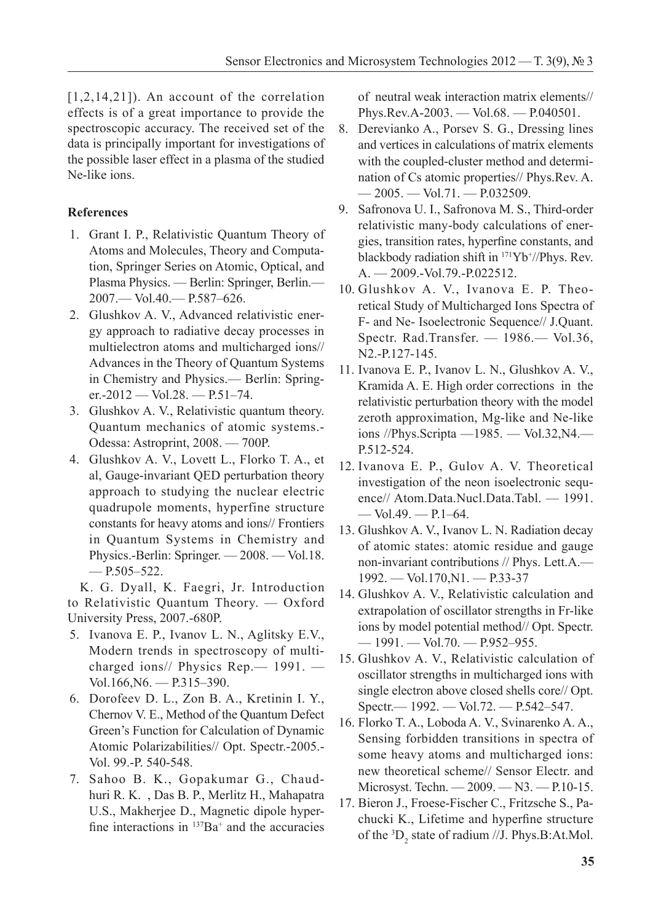$[1,2,14,21]$ ). An account of the correlation effects is of a great importance to provide the spectroscopic accuracy. The received set of the data is principally important for investigations of the possible laser effect in a plasma of the studied Ne-like ions.

# **References**

- 1. Grant I. P., Relativistic Quantum Theory of Atoms and Molecules, Theory and Computation, Springer Series on Atomic, Optical, and Plasma Physics. — Berlin: Springer, Berlin.— 2007.— Vol.40.— P.587–626.
- 2. Glushkov A. V., Advanced relativistic energy approach to radiative decay processes in multielectron atoms and multicharged ions// Advances in the Theory of Quantum Systems in Chemistry and Physics.— Berlin: Springer.-2012 — Vol.28. — P.51–74.
- 3. Glushkov A. V., Relativistic quantum theory. Quantum mechanics of atomic systems.- Odessa: Astroprint, 2008. — 700P.
- 4. Glushkov A. V., Lovett L., Florko T. A., et al, Gauge-invariant QED perturbation theory approach to studying the nuclear electric quadrupole moments, hyperfine structure constants for heavy atoms and ions// Frontiers in Quantum Systems in Chemistry and Physics.-Berlin: Springer. — 2008. — Vol.18. — P.505–522.

K. G. Dyall, K. Faegri, Jr. Introduction to Relativistic Quantum Theory. — Oxford University Press, 2007.-680P.

- 5. Ivanova E. P., Ivanov L. N., Aglitsky E.V., Modern trends in spectroscopy of multicharged ions// Physics Rep.— 1991. — Vol.166,N6. — P.315–390.
- 6. Dorofeev D. L., Zon B. A., Kretinin I. Y., Chernov V. E., Method of the Quantum Defect Green's Function for Calculation of Dynamic Atomic Polarizabilities// Opt. Spectr.-2005.- Vol. 99.-P. 540-548.
- 7. Sahoo B. K., Gopakumar G., Chaudhuri R. K. , Das B. P., Merlitz H., Mahapatra U.S., Makherjee D., Magnetic dipole hyperfine interactions in  $^{137}Ba^+$  and the accuracies

of neutral weak interaction matrix elements// Phys.Rev.A-2003. — Vol.68. — P.040501.

- 8. Derevianko A., Porsev S. G., Dressing lines and vertices in calculations of matrix elements with the coupled-cluster method and determination of Cs atomic properties// Phys.Rev. A.  $-2005. - Vol.71. - P.032509.$
- 9. Safronova U. I., Safronova M. S., Third-order relativistic many-body calculations of energies, transition rates, hyperfine constants, and blackbody radiation shift in  $171\text{Yb}^{\dagger}/\text{Phys.}$  Rev. A. — 2009.-Vol.79.-P.022512.
- 10. Glushkov A. V., Ivanova E. P. Theoretical Study of Multicharged Ions Spectra of F- and Ne- Isoelectronic Sequence// J.Quant. Spectr. Rad.Transfer. — 1986.— Vol.36, N2.-P.127-145.
- 11. Ivanova E. P., Ivanov L. N., Glushkov A. V., Kramida A. E. High order corrections in the relativistic perturbation theory with the model zeroth approximation, Mg-like and Ne-like ions //Phys.Scripta —1985. — Vol.32,N4.— P.512-524.
- 12. Ivanova E. P., Gulov A. V. Theoretical investigation of the neon isoelectronic sequence// Atom.Data.Nucl.Data.Tabl. — 1991. — Vol.49. — P.1–64.
- 13. Glushkov A. V., Ivanov L. N. Radiation decay of atomic states: atomic residue and gauge non-invariant contributions // Phys. Lett.A.— 1992. — Vol.170,N1. — P.33-37
- 14. Glushkov A. V., Relativistic calculation and extrapolation of oscillator strengths in Fr-like ions by model potential method// Opt. Spectr. — 1991. — Vol.70. — P.952–955.
- 15. Glushkov A. V., Relativistic calculation of oscillator strengths in multicharged ions with single electron above closed shells core// Opt. Spectr.— 1992. — Vol.72. — P.542–547.
- 16. Florko T. A., Loboda A. V., Svinarenko A. A., Sensing forbidden transitions in spectra of some heavy atoms and multicharged ions: new theoretical scheme// Sensor Electr. and Microsyst. Techn. — 2009. — N3. — P.10-15.
- 17. Bieron J., Froese-Fischer C., Fritzsche S., Pachucki K., Lifetime and hyperfine structure of the  ${}^{3}D_{2}$  state of radium //J. Phys.B:At.Mol.